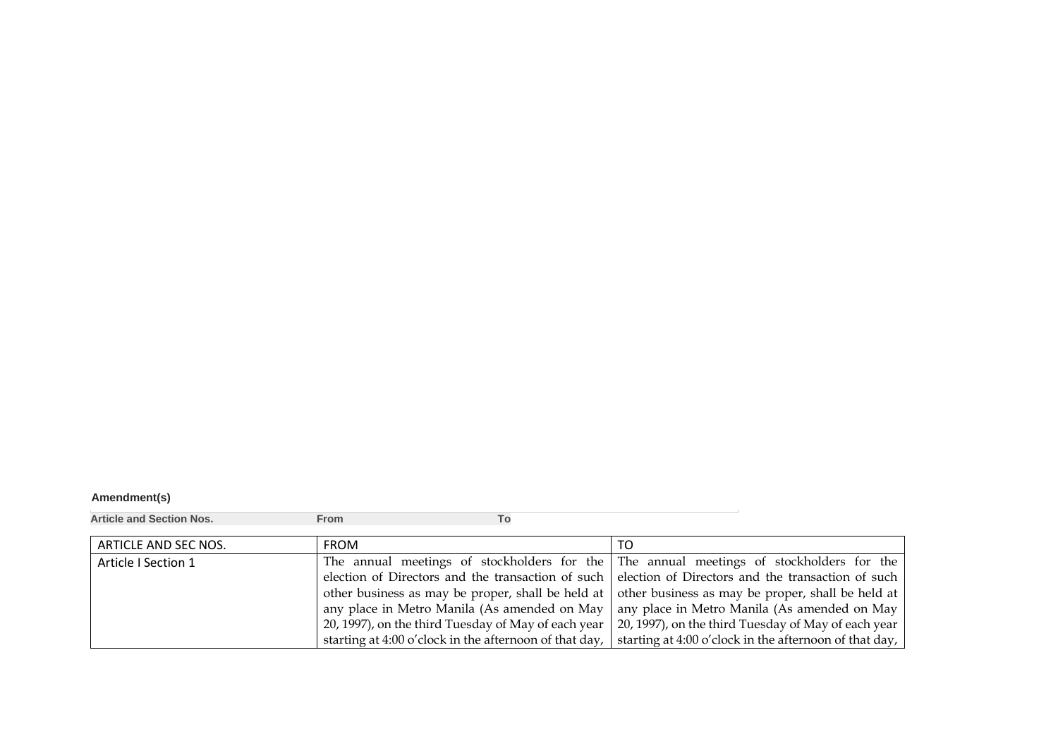## **Amendment(s)**

**Article and Section Nos. From To**

| ARTICLE AND SEC NOS. | <b>FROM</b>                                            | TO.                                                                                                 |
|----------------------|--------------------------------------------------------|-----------------------------------------------------------------------------------------------------|
| Article I Section 1  |                                                        | The annual meetings of stockholders for the The annual meetings of stockholders for the             |
|                      |                                                        | election of Directors and the transaction of such election of Directors and the transaction of such |
|                      |                                                        | other business as may be proper, shall be held at other business as may be proper, shall be held at |
|                      |                                                        | any place in Metro Manila (As amended on May   any place in Metro Manila (As amended on May         |
|                      | 20, 1997), on the third Tuesday of May of each year    | 20, 1997), on the third Tuesday of May of each year                                                 |
|                      | starting at 4:00 o'clock in the afternoon of that day, | starting at 4:00 o'clock in the afternoon of that day,                                              |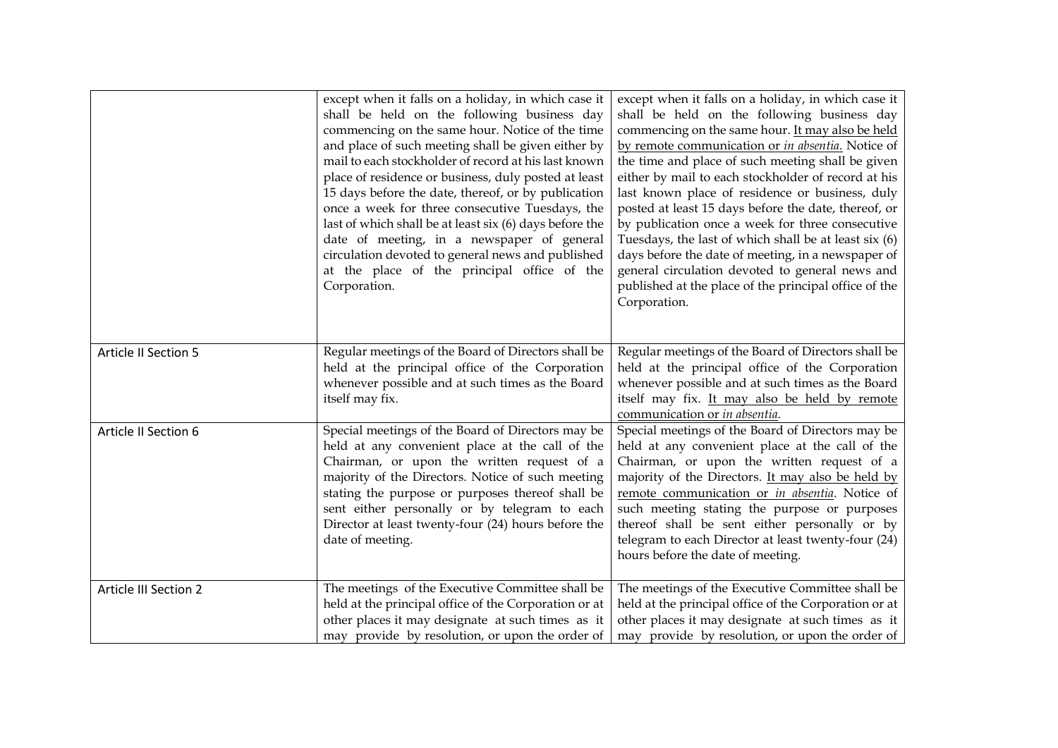|                              | except when it falls on a holiday, in which case it<br>shall be held on the following business day<br>commencing on the same hour. Notice of the time<br>and place of such meeting shall be given either by<br>mail to each stockholder of record at his last known<br>place of residence or business, duly posted at least<br>15 days before the date, thereof, or by publication<br>once a week for three consecutive Tuesdays, the<br>last of which shall be at least six (6) days before the<br>date of meeting, in a newspaper of general<br>circulation devoted to general news and published<br>at the place of the principal office of the<br>Corporation. | except when it falls on a holiday, in which case it<br>shall be held on the following business day<br>commencing on the same hour. It may also be held<br>by remote communication or in absentia. Notice of<br>the time and place of such meeting shall be given<br>either by mail to each stockholder of record at his<br>last known place of residence or business, duly<br>posted at least 15 days before the date, thereof, or<br>by publication once a week for three consecutive<br>Tuesdays, the last of which shall be at least six (6)<br>days before the date of meeting, in a newspaper of<br>general circulation devoted to general news and<br>published at the place of the principal office of the<br>Corporation. |
|------------------------------|--------------------------------------------------------------------------------------------------------------------------------------------------------------------------------------------------------------------------------------------------------------------------------------------------------------------------------------------------------------------------------------------------------------------------------------------------------------------------------------------------------------------------------------------------------------------------------------------------------------------------------------------------------------------|-----------------------------------------------------------------------------------------------------------------------------------------------------------------------------------------------------------------------------------------------------------------------------------------------------------------------------------------------------------------------------------------------------------------------------------------------------------------------------------------------------------------------------------------------------------------------------------------------------------------------------------------------------------------------------------------------------------------------------------|
| Article II Section 5         | Regular meetings of the Board of Directors shall be<br>held at the principal office of the Corporation<br>whenever possible and at such times as the Board<br>itself may fix.                                                                                                                                                                                                                                                                                                                                                                                                                                                                                      | Regular meetings of the Board of Directors shall be<br>held at the principal office of the Corporation<br>whenever possible and at such times as the Board<br>itself may fix. It may also be held by remote<br>communication or in absentia.                                                                                                                                                                                                                                                                                                                                                                                                                                                                                      |
| Article II Section 6         | Special meetings of the Board of Directors may be<br>held at any convenient place at the call of the<br>Chairman, or upon the written request of a<br>majority of the Directors. Notice of such meeting<br>stating the purpose or purposes thereof shall be<br>sent either personally or by telegram to each<br>Director at least twenty-four (24) hours before the<br>date of meeting.                                                                                                                                                                                                                                                                            | Special meetings of the Board of Directors may be<br>held at any convenient place at the call of the<br>Chairman, or upon the written request of a<br>majority of the Directors. It may also be held by<br>remote communication or in absentia. Notice of<br>such meeting stating the purpose or purposes<br>thereof shall be sent either personally or by<br>telegram to each Director at least twenty-four (24)<br>hours before the date of meeting.                                                                                                                                                                                                                                                                            |
| <b>Article III Section 2</b> | The meetings of the Executive Committee shall be<br>held at the principal office of the Corporation or at<br>other places it may designate at such times as it<br>may provide by resolution, or upon the order of                                                                                                                                                                                                                                                                                                                                                                                                                                                  | The meetings of the Executive Committee shall be<br>held at the principal office of the Corporation or at<br>other places it may designate at such times as it<br>may provide by resolution, or upon the order of                                                                                                                                                                                                                                                                                                                                                                                                                                                                                                                 |